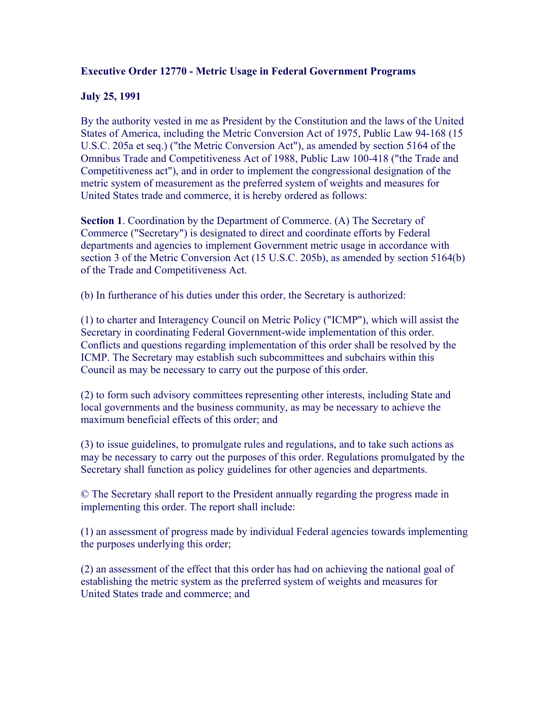## **Executive Order 12770 - Metric Usage in Federal Government Programs**

## **July 25, 1991**

By the authority vested in me as President by the Constitution and the laws of the United States of America, including the Metric Conversion Act of 1975, Public Law 94-168 (15 U.S.C. 205a et seq.) ("the Metric Conversion Act"), as amended by section 5164 of the Omnibus Trade and Competitiveness Act of 1988, Public Law 100-418 ("the Trade and Competitiveness act"), and in order to implement the congressional designation of the metric system of measurement as the preferred system of weights and measures for United States trade and commerce, it is hereby ordered as follows:

**Section 1.** Coordination by the Department of Commerce. (A) The Secretary of Commerce ("Secretary") is designated to direct and coordinate efforts by Federal departments and agencies to implement Government metric usage in accordance with section 3 of the Metric Conversion Act (15 U.S.C. 205b), as amended by section 5164(b) of the Trade and Competitiveness Act.

(b) In furtherance of his duties under this order, the Secretary is authorized:

(1) to charter and Interagency Council on Metric Policy ("ICMP"), which will assist the Secretary in coordinating Federal Government-wide implementation of this order. Conflicts and questions regarding implementation of this order shall be resolved by the ICMP. The Secretary may establish such subcommittees and subchairs within this Council as may be necessary to carry out the purpose of this order.

(2) to form such advisory committees representing other interests, including State and local governments and the business community, as may be necessary to achieve the maximum beneficial effects of this order; and

(3) to issue guidelines, to promulgate rules and regulations, and to take such actions as may be necessary to carry out the purposes of this order. Regulations promulgated by the Secretary shall function as policy guidelines for other agencies and departments.

© The Secretary shall report to the President annually regarding the progress made in implementing this order. The report shall include:

(1) an assessment of progress made by individual Federal agencies towards implementing the purposes underlying this order;

(2) an assessment of the effect that this order has had on achieving the national goal of establishing the metric system as the preferred system of weights and measures for United States trade and commerce; and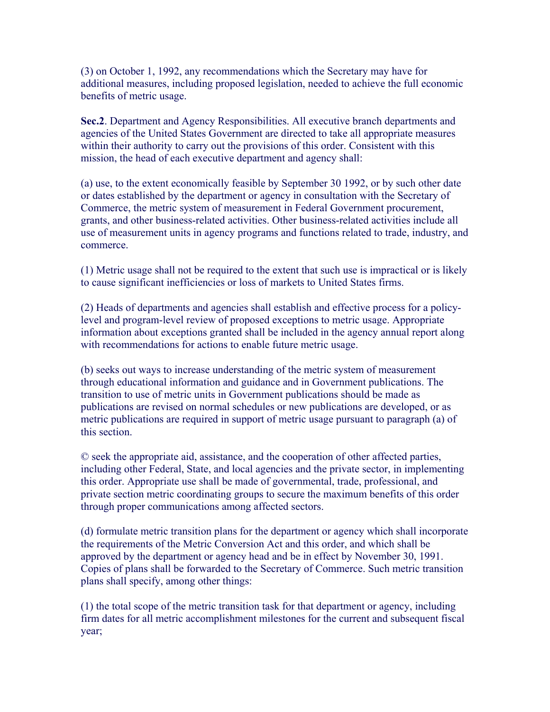(3) on October 1, 1992, any recommendations which the Secretary may have for additional measures, including proposed legislation, needed to achieve the full economic benefits of metric usage.

**Sec.2**. Department and Agency Responsibilities. All executive branch departments and agencies of the United States Government are directed to take all appropriate measures within their authority to carry out the provisions of this order. Consistent with this mission, the head of each executive department and agency shall:

(a) use, to the extent economically feasible by September 30 1992, or by such other date or dates established by the department or agency in consultation with the Secretary of Commerce, the metric system of measurement in Federal Government procurement, grants, and other business-related activities. Other business-related activities include all use of measurement units in agency programs and functions related to trade, industry, and commerce.

(1) Metric usage shall not be required to the extent that such use is impractical or is likely to cause significant inefficiencies or loss of markets to United States firms.

(2) Heads of departments and agencies shall establish and effective process for a policylevel and program-level review of proposed exceptions to metric usage. Appropriate information about exceptions granted shall be included in the agency annual report along with recommendations for actions to enable future metric usage.

(b) seeks out ways to increase understanding of the metric system of measurement through educational information and guidance and in Government publications. The transition to use of metric units in Government publications should be made as publications are revised on normal schedules or new publications are developed, or as metric publications are required in support of metric usage pursuant to paragraph (a) of this section.

© seek the appropriate aid, assistance, and the cooperation of other affected parties, including other Federal, State, and local agencies and the private sector, in implementing this order. Appropriate use shall be made of governmental, trade, professional, and private section metric coordinating groups to secure the maximum benefits of this order through proper communications among affected sectors.

(d) formulate metric transition plans for the department or agency which shall incorporate the requirements of the Metric Conversion Act and this order, and which shall be approved by the department or agency head and be in effect by November 30, 1991. Copies of plans shall be forwarded to the Secretary of Commerce. Such metric transition plans shall specify, among other things:

(1) the total scope of the metric transition task for that department or agency, including firm dates for all metric accomplishment milestones for the current and subsequent fiscal year;